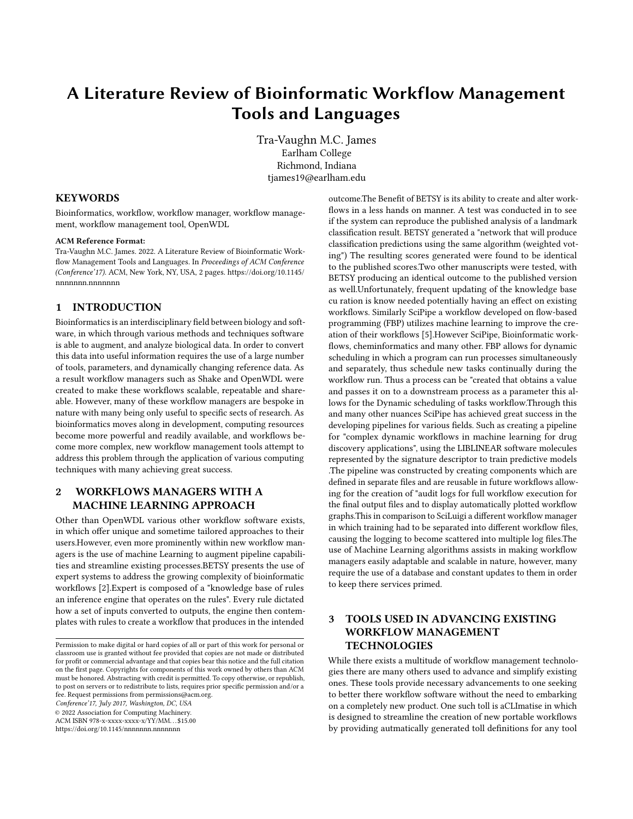# A Literature Review of Bioinformatic Workflow Management Tools and Languages

Tra-Vaughn M.C. James Earlham College Richmond, Indiana tjames19@earlham.edu

## **KEYWORDS**

Bioinformatics, workflow, workflow manager, workflow management, workflow management tool, OpenWDL

#### ACM Reference Format:

Tra-Vaughn M.C. James. 2022. A Literature Review of Bioinformatic Workflow Management Tools and Languages. In Proceedings of ACM Conference (Conference'17). ACM, New York, NY, USA, [2](#page-1-0) pages. [https://doi.org/10.1145/](https://doi.org/10.1145/nnnnnnn.nnnnnnn) [nnnnnnn.nnnnnnn](https://doi.org/10.1145/nnnnnnn.nnnnnnn)

# 1 INTRODUCTION

Bioinformatics is an interdisciplinary field between biology and software, in which through various methods and techniques software is able to augment, and analyze biological data. In order to convert this data into useful information requires the use of a large number of tools, parameters, and dynamically changing reference data. As a result workflow managers such as Shake and OpenWDL were created to make these workflows scalable, repeatable and shareable. However, many of these workflow managers are bespoke in nature with many being only useful to specific sects of research. As bioinformatics moves along in development, computing resources become more powerful and readily available, and workflows become more complex, new workflow management tools attempt to address this problem through the application of various computing techniques with many achieving great success.

# 2 WORKFLOWS MANAGERS WITH A MACHINE LEARNING APPROACH

Other than OpenWDL various other workflow software exists, in which offer unique and sometime tailored approaches to their users.However, even more prominently within new workflow managers is the use of machine Learning to augment pipeline capabilities and streamline existing processes.BETSY presents the use of expert systems to address the growing complexity of bioinformatic workflows [\[2\]](#page-1-1).Expert is composed of a "knowledge base of rules an inference engine that operates on the rules". Every rule dictated how a set of inputs converted to outputs, the engine then contemplates with rules to create a workflow that produces in the intended

Conference'17, July 2017, Washington, DC, USA

© 2022 Association for Computing Machinery.

ACM ISBN 978-x-xxxx-xxxx-x/YY/MM. . . \$15.00

<https://doi.org/10.1145/nnnnnnn.nnnnnnn>

outcome.The Benefit of BETSY is its ability to create and alter workflows in a less hands on manner. A test was conducted in to see if the system can reproduce the published analysis of a landmark classification result. BETSY generated a "network that will produce classification predictions using the same algorithm (weighted voting") The resulting scores generated were found to be identical to the published scores.Two other manuscripts were tested, with BETSY producing an identical outcome to the published version as well.Unfortunately, frequent updating of the knowledge base cu ration is know needed potentially having an effect on existing workflows. Similarly SciPipe a workflow developed on flow-based programming (FBP) utilizes machine learning to improve the creation of their workflows [\[5\]](#page-1-2).However SciPipe, Bioinformatic workflows, cheminformatics and many other. FBP allows for dynamic scheduling in which a program can run processes simultaneously and separately, thus schedule new tasks continually during the workflow run. Thus a process can be "created that obtains a value and passes it on to a downstream process as a parameter this allows for the Dynamic scheduling of tasks workflow.Through this and many other nuances SciPipe has achieved great success in the developing pipelines for various fields. Such as creating a pipeline for "complex dynamic workflows in machine learning for drug discovery applications", using the LIBLINEAR software molecules represented by the signature descriptor to train predictive models .The pipeline was constructed by creating components which are defined in separate files and are reusable in future workflows allowing for the creation of "audit logs for full workflow execution for the final output files and to display automatically plotted workflow graphs.This in comparison to SciLuigi a different workflow manager in which training had to be separated into different workflow files, causing the logging to become scattered into multiple log files.The use of Machine Learning algorithms assists in making workflow managers easily adaptable and scalable in nature, however, many require the use of a database and constant updates to them in order to keep there services primed.

# 3 TOOLS USED IN ADVANCING EXISTING WORKFLOW MANAGEMENT **TECHNOLOGIES**

While there exists a multitude of workflow management technologies there are many others used to advance and simplify existing ones. These tools provide necessary advancements to one seeking to better there workflow software without the need to embarking on a completely new product. One such toll is aCLImatise in which is designed to streamline the creation of new portable workflows by providing autmatically generated toll definitions for any tool

Permission to make digital or hard copies of all or part of this work for personal or classroom use is granted without fee provided that copies are not made or distributed for profit or commercial advantage and that copies bear this notice and the full citation on the first page. Copyrights for components of this work owned by others than ACM must be honored. Abstracting with credit is permitted. To copy otherwise, or republish, to post on servers or to redistribute to lists, requires prior specific permission and/or a fee. Request permissions from permissions@acm.org.